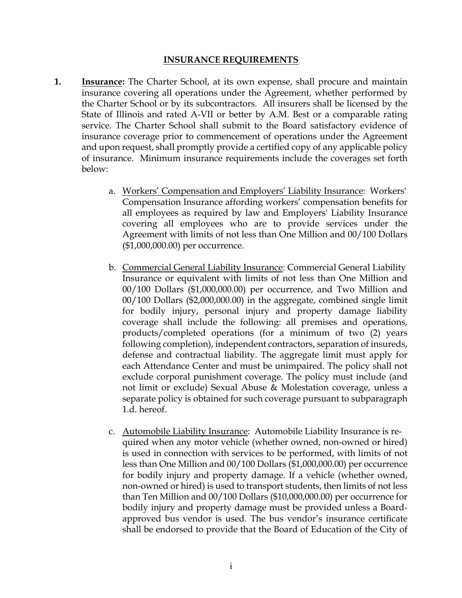## **INSURANCE REQUIREMENTS**

- **1. Insurance:** The Charter School, at its own expense, shall procure and maintain insurance covering all operations under the Agreement, whether performed by the Charter School or by its subcontractors. All insurers shall be licensed by the State of Illinois and rated A-VII or better by A.M. Best or a comparable rating service. The Charter School shall submit to the Board satisfactory evidence of insurance coverage prior to commencement of operations under the Agreement and upon request, shall promptly provide a certified copy of any applicable policy of insurance. Minimum insurance requirements include the coverages set forth below:
	- a. Workers' Compensation and Employers' Liability Insurance: Workers' Compensation Insurance affording workers' compensation benefits for all employees as required by law and Employers' Liability Insurance covering all employees who are to provide services under the Agreement with limits of not less than One Million and 00/100 Dollars (\$1,000,000.00) per occurrence.
	- b. Commercial General Liability Insurance: Commercial General Liability Insurance or equivalent with limits of not less than One Million and 00/100 Dollars (\$1,000,000.00) per occurrence, and Two Million and 00/100 Dollars (\$2,000,000.00) in the aggregate, combined single limit for bodily injury, personal injury and property damage liability coverage shall include the following: all premises and operations, products/completed operations (for a minimum of two (2) years following completion), independent contractors, separation of insureds, defense and contractual liability. The aggregate limit must apply for each Attendance Center and must be unimpaired. The policy shall not exclude corporal punishment coverage. The policy must include (and not limit or exclude) Sexual Abuse & Molestation coverage, unless a separate policy is obtained for such coverage pursuant to subparagraph 1.d. hereof.
	- c. Automobile Liability Insurance: Automobile Liability Insurance is required when any motor vehicle (whether owned, non-owned or hired) is used in connection with services to be performed, with limits of not less than One Million and 00/100 Dollars (\$1,000,000.00) per occurrence for bodily injury and property damage. If a vehicle (whether owned, non-owned or hired) is used to transport students, then limits of not less than Ten Million and 00/100 Dollars (\$10,000,000.00) per occurrence for bodily injury and property damage must be provided unless a Boardapproved bus vendor is used. The bus vendor's insurance certificate shall be endorsed to provide that the Board of Education of the City of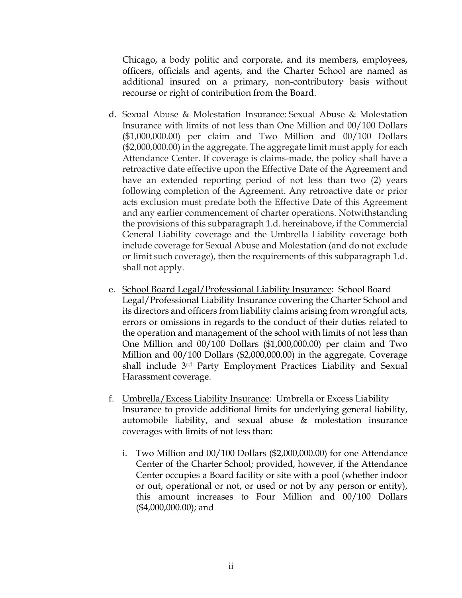Chicago, a body politic and corporate, and its members, employees, officers, officials and agents, and the Charter School are named as additional insured on a primary, non-contributory basis without recourse or right of contribution from the Board.

- d. Sexual Abuse & Molestation Insurance: Sexual Abuse & Molestation Insurance with limits of not less than One Million and 00/100 Dollars (\$1,000,000.00) per claim and Two Million and 00/100 Dollars (\$2,000,000.00) in the aggregate. The aggregate limit must apply for each Attendance Center. If coverage is claims-made, the policy shall have a retroactive date effective upon the Effective Date of the Agreement and have an extended reporting period of not less than two (2) years following completion of the Agreement. Any retroactive date or prior acts exclusion must predate both the Effective Date of this Agreement and any earlier commencement of charter operations. Notwithstanding the provisions of this subparagraph 1.d. hereinabove, if the Commercial General Liability coverage and the Umbrella Liability coverage both include coverage for Sexual Abuse and Molestation (and do not exclude or limit such coverage), then the requirements of this subparagraph 1.d. shall not apply.
- e. School Board Legal/Professional Liability Insurance: School Board Legal/Professional Liability Insurance covering the Charter School and its directors and officers from liability claims arising from wrongful acts, errors or omissions in regards to the conduct of their duties related to the operation and management of the school with limits of not less than One Million and 00/100 Dollars (\$1,000,000.00) per claim and Two Million and 00/100 Dollars (\$2,000,000.00) in the aggregate. Coverage shall include 3rd Party Employment Practices Liability and Sexual Harassment coverage.
- f. Umbrella/Excess Liability Insurance: Umbrella or Excess Liability Insurance to provide additional limits for underlying general liability, automobile liability, and sexual abuse & molestation insurance coverages with limits of not less than:
	- i. Two Million and 00/100 Dollars (\$2,000,000.00) for one Attendance Center of the Charter School; provided, however, if the Attendance Center occupies a Board facility or site with a pool (whether indoor or out, operational or not, or used or not by any person or entity), this amount increases to Four Million and 00/100 Dollars (\$4,000,000.00); and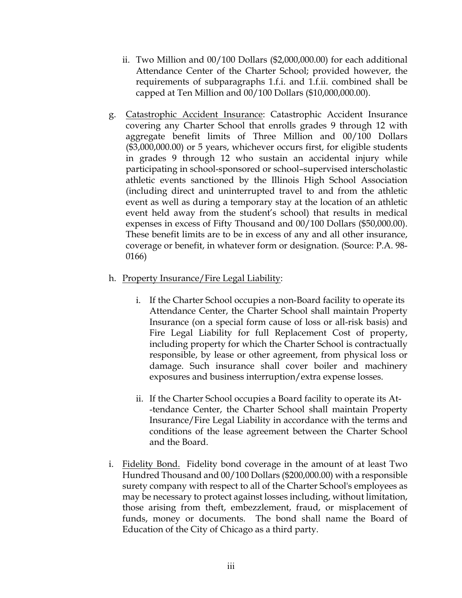- ii. Two Million and 00/100 Dollars (\$2,000,000.00) for each additional Attendance Center of the Charter School; provided however, the requirements of subparagraphs 1.f.i. and 1.f.ii. combined shall be capped at Ten Million and 00/100 Dollars (\$10,000,000.00).
- g. Catastrophic Accident Insurance: Catastrophic Accident Insurance covering any Charter School that enrolls grades 9 through 12 with aggregate benefit limits of Three Million and 00/100 Dollars (\$3,000,000.00) or 5 years, whichever occurs first, for eligible students in grades 9 through 12 who sustain an accidental injury while participating in school-sponsored or school–supervised interscholastic athletic events sanctioned by the Illinois High School Association (including direct and uninterrupted travel to and from the athletic event as well as during a temporary stay at the location of an athletic event held away from the student's school) that results in medical expenses in excess of Fifty Thousand and 00/100 Dollars (\$50,000.00). These benefit limits are to be in excess of any and all other insurance, coverage or benefit, in whatever form or designation. (Source: P.A. 98- 0166)
- h. Property Insurance/Fire Legal Liability:
	- i. If the Charter School occupies a non-Board facility to operate its Attendance Center, the Charter School shall maintain Property Insurance (on a special form cause of loss or all-risk basis) and Fire Legal Liability for full Replacement Cost of property, including property for which the Charter School is contractually responsible, by lease or other agreement, from physical loss or damage. Such insurance shall cover boiler and machinery exposures and business interruption/extra expense losses.
	- ii. If the Charter School occupies a Board facility to operate its At- -tendance Center, the Charter School shall maintain Property Insurance/Fire Legal Liability in accordance with the terms and conditions of the lease agreement between the Charter School and the Board.
- i. Fidelity Bond. Fidelity bond coverage in the amount of at least Two Hundred Thousand and 00/100 Dollars (\$200,000.00) with a responsible surety company with respect to all of the Charter School's employees as may be necessary to protect against losses including, without limitation, those arising from theft, embezzlement, fraud, or misplacement of funds, money or documents. The bond shall name the Board of Education of the City of Chicago as a third party.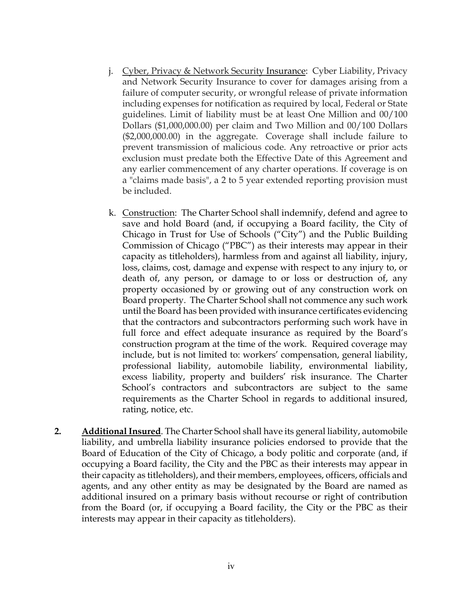- j. Cyber, Privacy & Network Security Insurance: Cyber Liability, Privacy and Network Security Insurance to cover for damages arising from a failure of computer security, or wrongful release of private information including expenses for notification as required by local, Federal or State guidelines. Limit of liability must be at least One Million and 00/100 Dollars (\$1,000,000.00) per claim and Two Million and 00/100 Dollars (\$2,000,000.00) in the aggregate. Coverage shall include failure to prevent transmission of malicious code. Any retroactive or prior acts exclusion must predate both the Effective Date of this Agreement and any earlier commencement of any charter operations. If coverage is on a "claims made basis", a 2 to 5 year extended reporting provision must be included.
- k. Construction: The Charter School shall indemnify, defend and agree to save and hold Board (and, if occupying a Board facility, the City of Chicago in Trust for Use of Schools ("City") and the Public Building Commission of Chicago ("PBC") as their interests may appear in their capacity as titleholders), harmless from and against all liability, injury, loss, claims, cost, damage and expense with respect to any injury to, or death of, any person, or damage to or loss or destruction of, any property occasioned by or growing out of any construction work on Board property. The Charter School shall not commence any such work until the Board has been provided with insurance certificates evidencing that the contractors and subcontractors performing such work have in full force and effect adequate insurance as required by the Board's construction program at the time of the work. Required coverage may include, but is not limited to: workers' compensation, general liability, professional liability, automobile liability, environmental liability, excess liability, property and builders' risk insurance. The Charter School's contractors and subcontractors are subject to the same requirements as the Charter School in regards to additional insured, rating, notice, etc.
- **2. Additional Insured**. The Charter School shall have its general liability, automobile liability, and umbrella liability insurance policies endorsed to provide that the Board of Education of the City of Chicago, a body politic and corporate (and, if occupying a Board facility, the City and the PBC as their interests may appear in their capacity as titleholders), and their members, employees, officers, officials and agents, and any other entity as may be designated by the Board are named as additional insured on a primary basis without recourse or right of contribution from the Board (or, if occupying a Board facility, the City or the PBC as their interests may appear in their capacity as titleholders).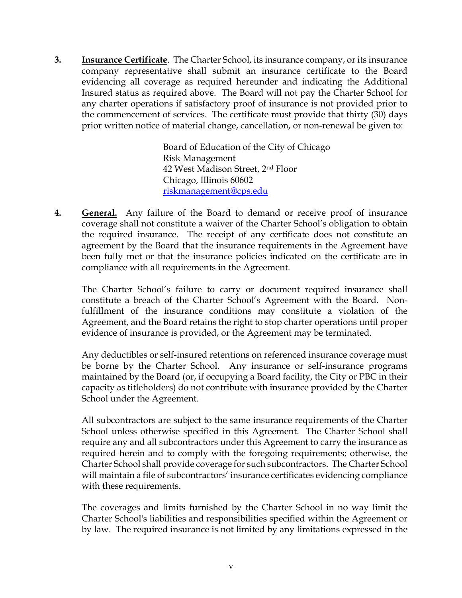**3. Insurance Certificate**. The Charter School, its insurance company, or its insurance company representative shall submit an insurance certificate to the Board evidencing all coverage as required hereunder and indicating the Additional Insured status as required above. The Board will not pay the Charter School for any charter operations if satisfactory proof of insurance is not provided prior to the commencement of services. The certificate must provide that thirty (30) days prior written notice of material change, cancellation, or non-renewal be given to:

> Board of Education of the City of Chicago Risk Management 42 West Madison Street, 2nd Floor Chicago, Illinois 60602 riskmanagement@cps.edu

**4. General.** Any failure of the Board to demand or receive proof of insurance coverage shall not constitute a waiver of the Charter School's obligation to obtain the required insurance. The receipt of any certificate does not constitute an agreement by the Board that the insurance requirements in the Agreement have been fully met or that the insurance policies indicated on the certificate are in compliance with all requirements in the Agreement.

The Charter School's failure to carry or document required insurance shall constitute a breach of the Charter School's Agreement with the Board. Nonfulfillment of the insurance conditions may constitute a violation of the Agreement, and the Board retains the right to stop charter operations until proper evidence of insurance is provided, or the Agreement may be terminated.

Any deductibles or self-insured retentions on referenced insurance coverage must be borne by the Charter School. Any insurance or self-insurance programs maintained by the Board (or, if occupying a Board facility, the City or PBC in their capacity as titleholders) do not contribute with insurance provided by the Charter School under the Agreement.

All subcontractors are subject to the same insurance requirements of the Charter School unless otherwise specified in this Agreement. The Charter School shall require any and all subcontractors under this Agreement to carry the insurance as required herein and to comply with the foregoing requirements; otherwise, the Charter School shall provide coverage for such subcontractors. The Charter School will maintain a file of subcontractors' insurance certificates evidencing compliance with these requirements.

The coverages and limits furnished by the Charter School in no way limit the Charter School's liabilities and responsibilities specified within the Agreement or by law. The required insurance is not limited by any limitations expressed in the